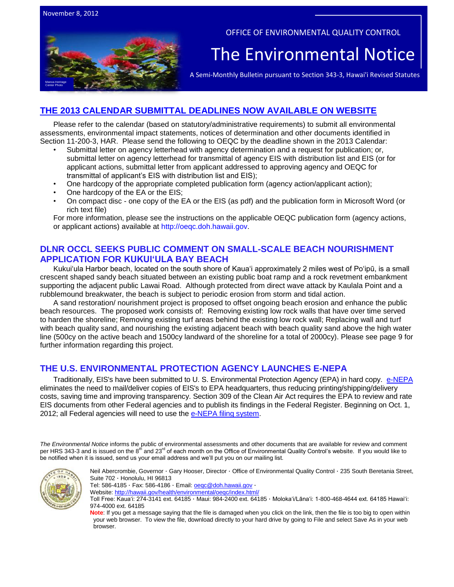

#### OFFICE OF ENVIRONMENTAL QUALITY CONTROL

## The Environmental Notice

A Semi-Monthly Bulletin pursuant to Section 343-3, Hawai'i Revised Statutes

## **[THE 2013 CALENDAR SUBMITTAL DEADLINES NOW AVAILABLE ON WEBSITE](http://oeqc.doh.hawaii.gov/Shared%20Documents/Preparation_of_Hawaii_Environmental_Policy_Act_Documents/2013%20OEQC%20SUBMITTAL%20DEADLINES%20CALENDAR.pdf)**

Please refer to the calendar (based on statutory/administrative requirements) to submit all environmental assessments, environmental impact statements, notices of determination and other documents identified in Section 11-200-3, HAR. Please send the following to OEQC by the deadline shown in the 2013 Calendar:

- Submittal letter on agency letterhead with agency determination and a request for publication; or, submittal letter on agency letterhead for transmittal of agency EIS with distribution list and EIS (or for applicant actions, submittal letter from applicant addressed to approving agency and OEQC for transmittal of applicant's EIS with distribution list and EIS);
- One hardcopy of the appropriate completed publication form (agency action/applicant action);
- One hardcopy of the EA or the EIS;
- On compact disc one copy of the EA or the EIS (as pdf) and the publication form in Microsoft Word (or rich text file)

For more information, please see the instructions on the applicable OEQC publication form (agency actions, or applicant actions) available at [http://oeqc.doh.hawaii.gov.](http://oeqc.doh.hawaii.gov/)

## **DLNR OCCL SEEKS PUBLIC COMMENT ON SMALL-SCALE BEACH NOURISHMENT APPLICATION FOR KUKUIʻULA BAY BEACH**

Kukuiʻula Harbor beach, located on the south shore of Kaua'i approximately 2 miles west of Poʻipū, is a small crescent shaped sandy beach situated between an existing public boat ramp and a rock revetment embankment supporting the adjacent public Lawai Road. Although protected from direct wave attack by Kaulala Point and a rubblemound breakwater, the beach is subject to periodic erosion from storm and tidal action.

A sand restoration/ nourishment project is proposed to offset ongoing beach erosion and enhance the public beach resources. The proposed work consists of: Removing existing low rock walls that have over time served to harden the shoreline; Removing existing turf areas behind the existing low rock wall; Replacing wall and turf with beach quality sand, and nourishing the existing adjacent beach with beach quality sand above the high water line (500cy on the active beach and 1500cy landward of the shoreline for a total of 2000cy). Please see page 9 for further information regarding this project.

## **THE U.S. ENVIRONMENTAL PROTECTION AGENCY LAUNCHES E-NEPA**

Traditionally, EIS's have been submitted to U. S. Environmental Protection Agency (EPA) in hard copy. [e-NEPA](http://www.epa.gov/compliance/nepa/submiteis/index.html#more) eliminates the need to mail/deliver copies of EIS's to EPA headquarters, thus reducing printing/shipping/delivery costs, saving time and improving transparency. Section 309 of the Clean Air Act requires the EPA to review and rate EIS documents from other Federal agencies and to publish its findings in the Federal Register. Beginning on Oct. 1, 2012; all Federal agencies will need to use the [e-NEPA filing system.](http://www.epa.gov/compliance/nepa/submiteis/index.html#more)

*The Environmental Notice* informs the public of environmental assessments and other documents that are available for review and comment per HRS 343-3 and is issued on the 8<sup>th</sup> and 23<sup>rd</sup> of each month on the Office of Environmental Quality Control's website. If you would like to be notified when it is issued, send us your email address and we'll put you on our mailing list.



Neil Abercrombie, Governor · Gary Hooser, Director · Office of Environmental Quality Control · 235 South Beretania Street, Suite 702 · Honolulu, HI 96813

Tel: 586-4185 · Fax: 586-4186 · Email[: oeqc@doh.hawaii.gov](mailto:oeqc@doh.hawaii.gov) ·

Website:<http://hawaii.gov/health/environmental/oeqc/index.html/>

Toll Free: Kauaʻi: 274-3141 ext. 64185 · Maui: 984-2400 ext. 64185 · Molokaʻi/Lānaʻi: 1-800-468-4644 ext. 64185 Hawaiʻi: 974-4000 ext. 64185

**Note**: If you get a message saying that the file is damaged when you click on the link, then the file is too big to open within your web browser. To view the file, download directly to your hard drive by going to File and select Save As in your web browser.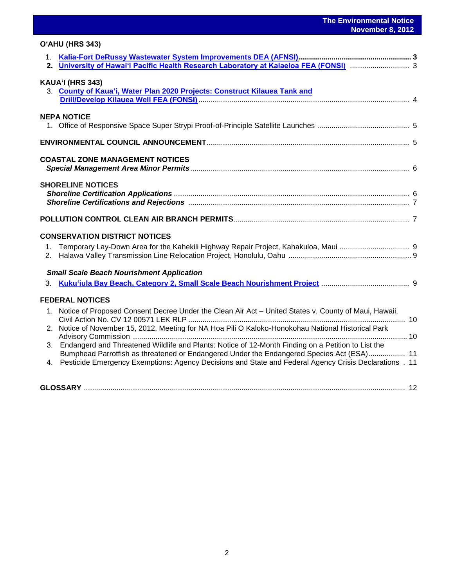| O'AHU (HRS 343)                                                                                                                                                                                    |  |
|----------------------------------------------------------------------------------------------------------------------------------------------------------------------------------------------------|--|
|                                                                                                                                                                                                    |  |
|                                                                                                                                                                                                    |  |
| KAUA'I (HRS 343)                                                                                                                                                                                   |  |
| 3. County of Kaua'i, Water Plan 2020 Projects: Construct Kilauea Tank and                                                                                                                          |  |
| <b>NEPA NOTICE</b>                                                                                                                                                                                 |  |
|                                                                                                                                                                                                    |  |
|                                                                                                                                                                                                    |  |
|                                                                                                                                                                                                    |  |
| <b>COASTAL ZONE MANAGEMENT NOTICES</b>                                                                                                                                                             |  |
| <b>SHORELINE NOTICES</b>                                                                                                                                                                           |  |
|                                                                                                                                                                                                    |  |
|                                                                                                                                                                                                    |  |
|                                                                                                                                                                                                    |  |
| <b>CONSERVATION DISTRICT NOTICES</b>                                                                                                                                                               |  |
| 1.                                                                                                                                                                                                 |  |
| 2.                                                                                                                                                                                                 |  |
| <b>Small Scale Beach Nourishment Application</b>                                                                                                                                                   |  |
| 3.                                                                                                                                                                                                 |  |
| <b>FEDERAL NOTICES</b>                                                                                                                                                                             |  |
| 1. Notice of Proposed Consent Decree Under the Clean Air Act - United States v. County of Maui, Hawaii,                                                                                            |  |
| 2. Notice of November 15, 2012, Meeting for NA Hoa Pili O Kaloko-Honokohau National Historical Park                                                                                                |  |
|                                                                                                                                                                                                    |  |
| 3. Endangerd and Threatened Wildlife and Plants: Notice of 12-Month Finding on a Petition to List the<br>Bumphead Parrotfish as threatened or Endangered Under the Endangered Species Act (ESA) 11 |  |
| 4. Pesticide Emergency Exemptions: Agency Decisions and State and Federal Agency Crisis Declarations . 11                                                                                          |  |
|                                                                                                                                                                                                    |  |
| $\frac{1}{2}$                                                                                                                                                                                      |  |

**GLOSSARY** ............................................................................................................................................................. 12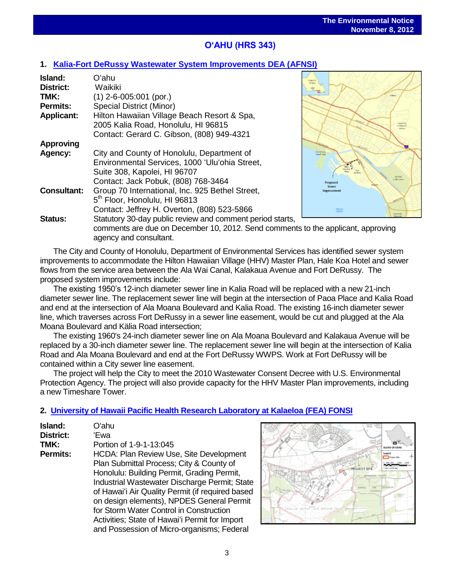# **OʻAHU (HRS 343)**

## **1. [Kalia-Fort DeRussy Wastewater System Improvements DEA \(AFNSI\)](http://oeqc.doh.hawaii.gov/Shared%20Documents/EA_and_EIS_Online_Library/Oahu/2010s/2012-11-08-DEA-Kalia-Fort-DeRussy-Wastewater-System-Improvements.pdf)**

| Island:            | Oʻahu                                                     |
|--------------------|-----------------------------------------------------------|
| District:          | Waikiki                                                   |
| TMK:               | $(1)$ 2-6-005:001 (por.)                                  |
| <b>Permits:</b>    | <b>Special District (Minor)</b>                           |
| <b>Applicant:</b>  | Hilton Hawaiian Village Beach Resort & Spa,               |
|                    | 2005 Kalia Road, Honolulu, HI 96815                       |
|                    | Contact: Gerard C. Gibson, (808) 949-4321                 |
| <b>Approving</b>   |                                                           |
| Agency:            | City and County of Honolulu, Department of                |
|                    | Environmental Services, 1000 'Ulu'ohia Street,            |
|                    | Suite 308, Kapolei, HI 96707                              |
|                    | Contact: Jack Pobuk, (808) 768-3464                       |
| <b>Consultant:</b> | Group 70 International, Inc. 925 Bethel Street,           |
|                    | 5 <sup>th</sup> Floor, Honolulu, HI 96813                 |
|                    | Contact: Jeffrey H. Overton, (808) 523-5866               |
| <b>Status:</b>     | Statutory 30-day public review and comment period starts, |
|                    | comments are due on December 10, 2012. Send comment       |



ents to the applicant, approving agency and consultant.

The City and County of Honolulu, Department of Environmental Services has identified sewer system improvements to accommodate the Hilton Hawaiian Village (HHV) Master Plan, Hale Koa Hotel and sewer flows from the service area between the Ala Wai Canal, Kalakaua Avenue and Fort DeRussy. The proposed system improvements include:

The existing 1950's 12-inch diameter sewer line in Kalia Road will be replaced with a new 21-inch diameter sewer line. The replacement sewer line will begin at the intersection of Paoa Place and Kalia Road and end at the intersection of Ala Moana Boulevard and Kalia Road. The existing 16-inch diameter sewer line, which traverses across Fort DeRussy in a sewer line easement, would be cut and plugged at the Ala Moana Boulevard and Kälia Road intersection;

The existing 1960's 24-inch diameter sewer line on Ala Moana Boulevard and Kalakaua Avenue will be replaced by a 30-inch diameter sewer line. The replacement sewer line will begin at the intersection of Kalia Road and Ala Moana Boulevard and end at the Fort DeRussy WWPS. Work at Fort DeRussy will be contained within a City sewer line easement.

The project will help the City to meet the 2010 Wastewater Consent Decree with U.S. Environmental Protection Agency. The project will also provide capacity for the HHV Master Plan improvements, including a new Timeshare Tower.

## **2. [University of Hawaii Pacific Health Research Laboratory at Kalaeloa \(FEA\) FONSI](http://oeqc.doh.hawaii.gov/Shared%20Documents/EA_and_EIS_Online_Library/Oahu/2010s/2012-11-08-FEA-University-of-Hawaii-Pacific-Health-Research-Laboratory-at-Kalaeloa.pdf)**

| Island:         | Oʻahu                                            |
|-----------------|--------------------------------------------------|
| District:       | 'Ewa                                             |
| TMK:            | Portion of 1-9-1-13:045                          |
| <b>Permits:</b> | HCDA: Plan Review Use, Site Development          |
|                 | Plan Submittal Process; City & County of         |
|                 | Honolulu: Building Permit, Grading Permit,       |
|                 | Industrial Wastewater Discharge Permit; State    |
|                 | of Hawai'i Air Quality Permit (if required based |
|                 | on design elements), NPDES General Permit        |
|                 | for Storm Water Control in Construction          |
|                 | Activities; State of Hawai'i Permit for Import   |
|                 | and Possession of Micro-organisms; Federal       |

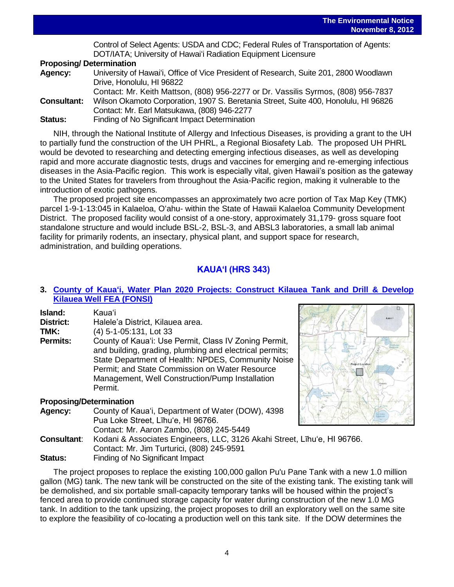Control of Select Agents: USDA and CDC; Federal Rules of Transportation of Agents: DOT/IATA; University of Hawaiʻi Radiation Equipment Licensure

#### **Proposing/ Determination**

| Agency:            | University of Hawai'i, Office of Vice President of Research, Suite 201, 2800 Woodlawn |
|--------------------|---------------------------------------------------------------------------------------|
|                    | Drive, Honolulu, HI 96822                                                             |
|                    | Contact: Mr. Keith Mattson, (808) 956-2277 or Dr. Vassilis Syrmos, (808) 956-7837     |
| <b>Consultant:</b> | Wilson Okamoto Corporation, 1907 S. Beretania Street, Suite 400, Honolulu, HI 96826   |
|                    | Contact: Mr. Earl Matsukawa, (808) 946-2277                                           |
| <b>Status:</b>     | Finding of No Significant Impact Determination                                        |

NIH, through the National Institute of Allergy and Infectious Diseases, is providing a grant to the UH to partially fund the construction of the UH PHRL, a Regional Biosafety Lab. The proposed UH PHRL would be devoted to researching and detecting emerging infectious diseases, as well as developing rapid and more accurate diagnostic tests, drugs and vaccines for emerging and re-emerging infectious diseases in the Asia-Pacific region. This work is especially vital, given Hawaii's position as the gateway to the United States for travelers from throughout the Asia-Pacific region, making it vulnerable to the introduction of exotic pathogens.

The proposed project site encompasses an approximately two acre portion of Tax Map Key (TMK) parcel 1-9-1-13:045 in Kalaeloa, Oʻahu- within the State of Hawaii Kalaeloa Community Development District. The proposed facility would consist of a one-story, approximately 31,179- gross square foot standalone structure and would include BSL-2, BSL-3, and ABSL3 laboratories, a small lab animal facility for primarily rodents, an insectary, physical plant, and support space for research, administration, and building operations.

## **KAUAʻI (HRS 343)**

## **3. [County of Kauaʻi, Water Plan 2020 Projects: Construct Kilauea Tank](http://oeqc.doh.hawaii.gov/Shared%20Documents/EA_and_EIS_Online_Library/Kauai/2010s/2012-11-08-FEA-Kauai-Water-Plan-2020-Projects-Kilauea-Tank-and-Well-Development.pdf) and Drill & Develop Kilauea Well [FEA \(FONSI\)](http://oeqc.doh.hawaii.gov/Shared%20Documents/EA_and_EIS_Online_Library/Kauai/2010s/2012-11-08-FEA-Kauai-Water-Plan-2020-Projects-Kilauea-Tank-and-Well-Development.pdf)**

| Island:         | Kaua'i                                                                                                                                                                                                                                                                                 |
|-----------------|----------------------------------------------------------------------------------------------------------------------------------------------------------------------------------------------------------------------------------------------------------------------------------------|
| District:       | Halele'a District, Kilauea area.                                                                                                                                                                                                                                                       |
| TMK:            | (4) 5-1-05:131, Lot 33                                                                                                                                                                                                                                                                 |
| <b>Permits:</b> | County of Kaua'i: Use Permit, Class IV Zoning Permit,<br>and building, grading, plumbing and electrical permits;<br>State Department of Health: NPDES, Community Noise<br>Permit; and State Commission on Water Resource<br>Management, Well Construction/Pump Installation<br>Permit. |

### **Proposing/Determination**

| <b>Agency:</b>     | County of Kaua'i, Department of Water (DOW), 4398                        |  |
|--------------------|--------------------------------------------------------------------------|--|
|                    | Pua Loke Street, Līhu'e, HI 96766.                                       |  |
|                    | Contact: Mr. Aaron Zambo, (808) 245-5449                                 |  |
| <b>Consultant:</b> | Kodani & Associates Engineers, LLC, 3126 Akahi Street, Līhu'e, HI 96766. |  |
|                    | Contact: Mr. Jim Turturici, (808) 245-9591                               |  |
| <b>Status:</b>     | Finding of No Significant Impact                                         |  |

The project proposes to replace the existing 100,000 gallon Pu'u Pane Tank with a new 1.0 million gallon (MG) tank. The new tank will be constructed on the site of the existing tank. The existing tank will be demolished, and six portable small-capacity temporary tanks will be housed within the project's fenced area to provide continued storage capacity for water during construction of the new 1.0 MG tank. In addition to the tank upsizing, the project proposes to drill an exploratory well on the same site to explore the feasibility of co-locating a production well on this tank site. If the DOW determines the

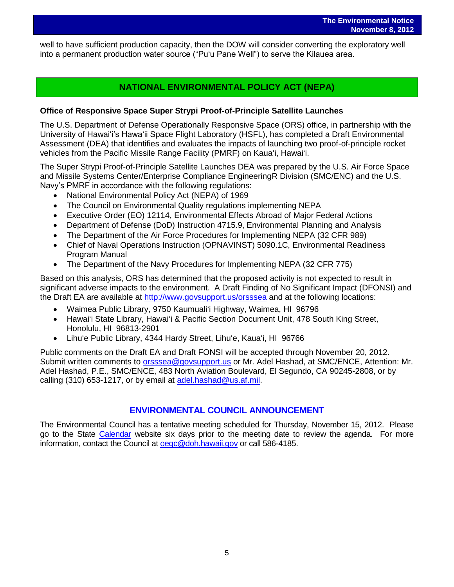well to have sufficient production capacity, then the DOW will consider converting the exploratory well into a permanent production water source ("Puʻu Pane Well") to serve the Kilauea area.

## **NATIONAL ENVIRONMENTAL POLICY ACT (NEPA)**

### **Office of Responsive Space Super Strypi Proof-of-Principle Satellite Launches**

The U.S. Department of Defense Operationally Responsive Space (ORS) office, in partnership with the University of Hawaiʻi's Hawaʻii Space Flight Laboratory (HSFL), has completed a Draft Environmental Assessment (DEA) that identifies and evaluates the impacts of launching two proof-of-principle rocket vehicles from the Pacific Missile Range Facility (PMRF) on Kauaʻi, Hawaiʻi.

The Super Strypi Proof-of-Principle Satellite Launches DEA was prepared by the U.S. Air Force Space and Missile Systems Center/Enterprise Compliance EngineeringR Division (SMC/ENC) and the U.S. Navy's PMRF in accordance with the following regulations:

- National Environmental Policy Act (NEPA) of 1969
- The Council on Environmental Quality regulations implementing NEPA
- Executive Order (EO) 12114, Environmental Effects Abroad of Major Federal Actions
- Department of Defense (DoD) Instruction 4715.9, Environmental Planning and Analysis
- The Department of the Air Force Procedures for Implementing NEPA (32 CFR 989)
- Chief of Naval Operations Instruction (OPNAVINST) 5090.1C, Environmental Readiness Program Manual
- The Department of the Navy Procedures for Implementing NEPA (32 CFR 775)

Based on this analysis, ORS has determined that the proposed activity is not expected to result in significant adverse impacts to the environment. A Draft Finding of No Significant Impact (DFONSI) and the Draft EA are available at<http://www.govsupport.us/orsssea> and at the following locations:

- Waimea Public Library, 9750 Kaumualiʻi Highway, Waimea, HI 96796
- Hawaiʻi State Library, Hawaiʻi & Pacific Section Document Unit, 478 South King Street, Honolulu, HI 96813-2901
- Lihuʻe Public Library, 4344 Hardy Street, Lihuʻe, Kauaʻi, HI 96766

Public comments on the Draft EA and Draft FONSI will be accepted through November 20, 2012. Submit written comments to [orsssea@govsupport.us](../../../AppData/Local/Microsoft/Windows/Temporary%20Internet%20Files/Content.Outlook/AppData/Roaming/Microsoft/Local%20Settings/Temporary%20Internet%20Files/Content.Outlook/RPOLIE3J/orsssea@govsupport.us) or Mr. Adel Hashad, at SMC/ENCE, Attention: Mr. Adel Hashad, P.E., SMC/ENCE, 483 North Aviation Boulevard, El Segundo, CA 90245-2808, or by calling (310) 653-1217, or by email at [adel.hashad@us.af.mil.](mailto:adel.hashad@us.af.mil)

## **ENVIRONMENTAL COUNCIL ANNOUNCEMENT**

The Environmental Council has a tentative meeting scheduled for Thursday, November 15, 2012. Please go to the State [Calendar](http://calendar.ehawaii.gov/calendar/html/event) website six days prior to the meeting date to review the agenda. For more information, contact the Council at oegc@doh.hawaii.gov or call 586-4185.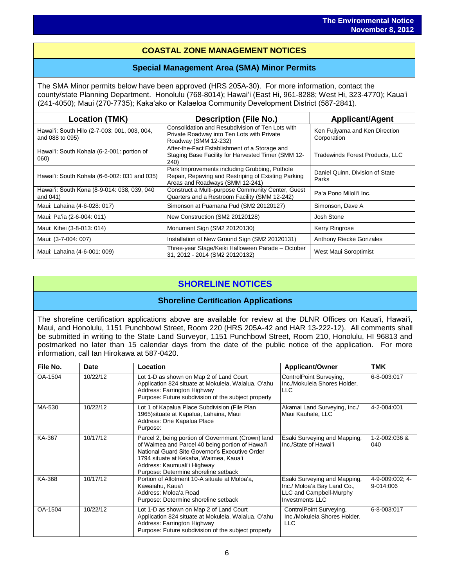## l<br>I **COASTAL ZONE MANAGEMENT NOTICES**

## **Special Management Area (SMA) Minor Permits**

The SMA Minor permits below have been approved (HRS 205A-30). For more information, contact the county/state Planning Department. Honolulu (768-8014); Hawaiʻi (East Hi, 961-8288; West Hi, 323-4770); Kauaʻi (241-4050); Maui (270-7735); Kakaʻako or Kalaeloa Community Development District (587-2841).

| <b>Location (TMK)</b>                                           | <b>Description (File No.)</b>                                                                                                           | <b>Applicant/Agent</b>                        |
|-----------------------------------------------------------------|-----------------------------------------------------------------------------------------------------------------------------------------|-----------------------------------------------|
| Hawai'i: South Hilo (2-7-003: 001, 003, 004,<br>and 088 to 095) | Consolidation and Resubdivision of Ten Lots with<br>Private Roadway into Ten Lots with Private<br>Roadway (SMM 12-232)                  | Ken Fujiyama and Ken Direction<br>Corporation |
| Hawai'i: South Kohala (6-2-001: portion of<br>060)              | After-the-Fact Establishment of a Storage and<br>Staging Base Facility for Harvested Timer (SMM 12-<br><b>240</b> )                     | <b>Tradewinds Forest Products, LLC</b>        |
| Hawai'i: South Kohala (6-6-002: 031 and 035)                    | Park Improvements including Grubbing, Pothole<br>Repair, Repaving and Restriping of Existing Parking<br>Areas and Roadways (SMM 12-241) | Daniel Quinn, Division of State<br>Parks      |
| Hawai'i: South Kona (8-9-014: 038, 039, 040<br>and 041)         | Construct a Multi-purpose Community Center, Guest<br>Quarters and a Restroom Facility (SMM 12-242)                                      | Pa'a Pono Miloli'i Inc.                       |
| Maui: Lahaina (4-6-028: 017)                                    | Simonson at Puamana Pud (SM2 20120127)                                                                                                  | Simonson, Dave A                              |
| Maui: Pa'ia (2-6-004: 011)                                      | New Construction (SM2 20120128)                                                                                                         | Josh Stone                                    |
| Maui: Kihei (3-8-013: 014)                                      | Monument Sign (SM2 20120130)                                                                                                            | Kerry Ringrose                                |
| Maui: (3-7-004: 007)                                            | Installation of New Ground Sign (SM2 20120131)                                                                                          | <b>Anthony Riecke Gonzales</b>                |
| Maui: Lahaina (4-6-001: 009)                                    | Three-year Stage/Keiki Halloween Parade - October<br>31, 2012 - 2014 (SM2 20120132)                                                     | West Maui Soroptimist                         |

## **SHORELINE NOTICES**

### **Shoreline Certification Applications**

The shoreline certification applications above are available for review at the DLNR Offices on Kauaʻi, Hawaiʻi, Maui, and Honolulu, 1151 Punchbowl Street, Room 220 (HRS 205A-42 and HAR 13-222-12). All comments shall be submitted in writing to the State Land Surveyor, 1151 Punchbowl Street, Room 210, Honolulu, HI 96813 and postmarked no later than 15 calendar days from the date of the public notice of the application. For more information, call Ian Hirokawa at 587-0420.

| File No. | Date     | Location                                                                                                                                                                                                                                                                  | <b>Applicant/Owner</b>                                                                                           | <b>TMK</b>                   |
|----------|----------|---------------------------------------------------------------------------------------------------------------------------------------------------------------------------------------------------------------------------------------------------------------------------|------------------------------------------------------------------------------------------------------------------|------------------------------|
| OA-1504  | 10/22/12 | Lot 1-D as shown on Map 2 of Land Court<br>Application 824 situate at Mokuleia, Waialua, O'ahu<br>Address: Farrington Highway<br>Purpose: Future subdivision of the subject property                                                                                      | ControlPoint Surveying,<br>Inc./Mokuleia Shores Holder.<br><b>LLC</b>                                            | 6-8-003:017                  |
| MA-530   | 10/22/12 | Lot 1 of Kapalua Place Subdivision (File Plan<br>1965) situate at Kapalua, Lahaina, Maui<br>Address: One Kapalua Place<br>Purpose:                                                                                                                                        | Akamai Land Surveying, Inc./<br>Maui Kauhale, LLC                                                                | 4-2-004:001                  |
| KA-367   | 10/17/12 | Parcel 2, being portion of Government (Crown) land<br>of Waimea and Parcel 40 being portion of Hawai'i<br>National Guard Site Governor's Executive Order<br>1794 situate at Kekaha, Waimea, Kaua'i<br>Address: Kaumuali'i Highway<br>Purpose: Determine shoreline setback | Esaki Surveying and Mapping,<br>Inc./State of Hawai'i                                                            | 1-2-002:036 &<br>040         |
| KA-368   | 10/17/12 | Portion of Allotment 10-A situate at Moloa'a,<br>Kawaiahu, Kaua'i<br>Address: Moloa'a Road<br>Purpose: Determine shoreline setback                                                                                                                                        | Esaki Surveying and Mapping,<br>Inc./ Moloa'a Bay Land Co.,<br>LLC and Campbell-Murphy<br><b>Investments LLC</b> | 4-9-009:002; 4-<br>9-014:006 |
| OA-1504  | 10/22/12 | Lot 1-D as shown on Map 2 of Land Court<br>Application 824 situate at Mokuleia, Waialua, O'ahu<br>Address: Farrington Highway<br>Purpose: Future subdivision of the subject property                                                                                      | ControlPoint Surveying,<br>Inc./Mokuleia Shores Holder.<br><b>LLC</b>                                            | 6-8-003:017                  |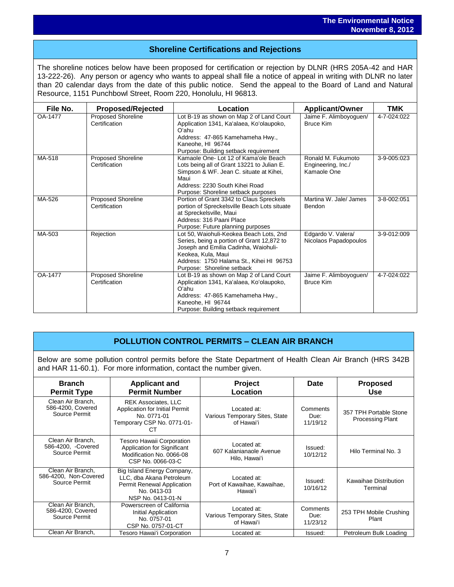# **Shoreline Certifications and Rejections**

The shoreline notices below have been proposed for certification or rejection by DLNR (HRS 205A-42 and HAR 13-222-26). Any person or agency who wants to appeal shall file a notice of appeal in writing with DLNR no later than 20 calendar days from the date of this public notice. Send the appeal to the Board of Land and Natural Resource, 1151 Punchbowl Street, Room 220, Honolulu, HI 96813.

| File No. | <b>Proposed/Rejected</b>                   | Location                                                                                                                                                                                                                      | <b>Applicant/Owner</b>                                  | <b>TMK</b>  |
|----------|--------------------------------------------|-------------------------------------------------------------------------------------------------------------------------------------------------------------------------------------------------------------------------------|---------------------------------------------------------|-------------|
| OA-1477  | <b>Proposed Shoreline</b><br>Certification | Lot B-19 as shown on Map 2 of Land Court<br>Application 1341, Ka'alaea, Ko'olaupoko,<br>Oʻahu<br>Address: 47-865 Kamehameha Hwy.,<br>Kaneohe, HI 96744<br>Purpose: Building setback requirement                               | Jaime F. Alimboyoguen/<br>Bruce Kim                     | 4-7-024:022 |
| MA-518   | <b>Proposed Shoreline</b><br>Certification | Kamaole One-Lot 12 of Kama'ole Beach<br>Lots being all of Grant 13221 to Julian E.<br>Simpson & WF. Jean C. situate at Kihei,<br>Maui<br>Address: 2230 South Kihei Road<br>Purpose: Shoreline setback purposes                | Ronald M. Fukumoto<br>Engineering, Inc./<br>Kamaole One | 3-9-005:023 |
| MA-526   | <b>Proposed Shoreline</b><br>Certification | Portion of Grant 3342 to Claus Spreckels<br>portion of Spreckelsville Beach Lots situate<br>at Spreckelsville, Maui<br>Address: 316 Paani Place<br>Purpose: Future planning purposes                                          | Martina W. Jale/ James<br>Bendon                        | 3-8-002:051 |
| MA-503   | Rejection                                  | Lot 50, Waiohuli-Keokea Beach Lots, 2nd<br>Series, being a portion of Grant 12,872 to<br>Joseph and Emilia Cadinha, Waiohuli-<br>Keokea, Kula, Maui<br>Address: 1750 Halama St., Kihei HI 96753<br>Purpose: Shoreline setback | Edgardo V. Valera/<br>Nicolaos Papadopoulos             | 3-9-012:009 |
| OA-1477  | <b>Proposed Shoreline</b><br>Certification | Lot B-19 as shown on Map 2 of Land Court<br>Application 1341, Ka'alaea, Ko'olaupoko,<br>O'ahu<br>Address: 47-865 Kamehameha Hwy.,<br>Kaneohe, HI 96744<br>Purpose: Building setback requirement                               | Jaime F. Alimboyoguen/<br><b>Bruce Kim</b>              | 4-7-024:022 |

## **POLLUTION CONTROL PERMITS – CLEAN AIR BRANCH**

Below are some pollution control permits before the State Department of Health Clean Air Branch (HRS 342B and HAR 11-60.1). For more information, contact the number given.

| <b>Branch</b><br><b>Permit Type</b>                         | <b>Applicant and</b><br><b>Permit Number</b>                                                                             | <b>Project</b><br>Location                                  | <b>Date</b>                  | <b>Proposed</b><br><b>Use</b>                     |
|-------------------------------------------------------------|--------------------------------------------------------------------------------------------------------------------------|-------------------------------------------------------------|------------------------------|---------------------------------------------------|
| Clean Air Branch,<br>586-4200, Covered<br>Source Permit     | <b>REK Associates, LLC</b><br>Application for Initial Permit<br>No. 0771-01<br>Temporary CSP No. 0771-01-<br>CТ          | Located at:<br>Various Temporary Sites, State<br>of Hawai'i | Comments<br>Due:<br>11/19/12 | 357 TPH Portable Stone<br><b>Processing Plant</b> |
| Clean Air Branch,<br>586-4200, -Covered<br>Source Permit    | <b>Tesoro Hawaii Corporation</b><br>Application for Significant<br>Modification No. 0066-08<br>CSP No. 0066-03-C         | Located at:<br>607 Kalanianaole Avenue<br>Hilo, Hawai'i     | Issued:<br>10/12/12          | Hilo Terminal No. 3                               |
| Clean Air Branch,<br>586-4200, Non-Covered<br>Source Permit | Big Island Energy Company,<br>LLC, dba Akana Petroleum<br>Permit Renewal Application<br>No. 0413-03<br>NSP No. 0413-01-N | Located at:<br>Port of Kawaihae, Kawaihae,<br>Hawai'i       | Issued:<br>10/16/12          | Kawaihae Distribution<br>Terminal                 |
| Clean Air Branch,<br>586-4200, Covered<br>Source Permit     | Powerscreen of California<br>Initial Application<br>No. 0757-01<br>CSP No. 0757-01-CT                                    | Located at:<br>Various Temporary Sites, State<br>of Hawai'i | Comments<br>Due:<br>11/23/12 | 253 TPH Mobile Crushing<br>Plant                  |
| Clean Air Branch,                                           | Tesoro Hawai'i Corporation                                                                                               | Located at:                                                 | Issued:                      | Petroleum Bulk Loading                            |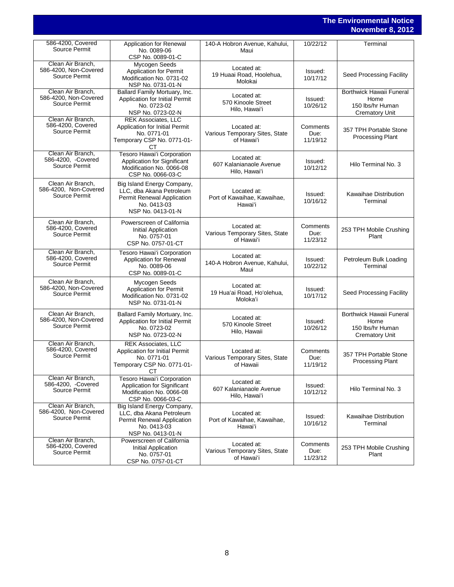## **The Environmental Notice November 8, 2012**

| 586-4200, Covered<br>Source Permit                          | <b>Application for Renewal</b><br>No. 0089-06<br>CSP No. 0089-01-C                                                       | 140-A Hobron Avenue, Kahului,<br>Maui                       | 10/22/12                     | Terminal                                                                      |
|-------------------------------------------------------------|--------------------------------------------------------------------------------------------------------------------------|-------------------------------------------------------------|------------------------------|-------------------------------------------------------------------------------|
| Clean Air Branch,<br>586-4200, Non-Covered<br>Source Permit | Mycogen Seeds<br><b>Application for Permit</b><br>Modification No. 0731-02<br>NSP No. 0731-01-N                          | Located at:<br>19 Huaai Road, Hoolehua,<br>Molokai          | Issued:<br>10/17/12          | Seed Processing Facility                                                      |
| Clean Air Branch,<br>586-4200, Non-Covered<br>Source Permit | Ballard Family Mortuary, Inc.<br>Application for Initial Permit<br>No. 0723-02<br>NSP No. 0723-02-N                      | Located at:<br>570 Kinoole Street<br>Hilo, Hawai'i          | Issued:<br>10/26/12          | Borthwick Hawaii Funeral<br>Home<br>150 lbs/hr Human<br><b>Crematory Unit</b> |
| Clean Air Branch,<br>586-4200, Covered<br>Source Permit     | <b>REK Associates, LLC</b><br>Application for Initial Permit<br>No. 0771-01<br>Temporary CSP No. 0771-01-<br>CТ          | Located at:<br>Various Temporary Sites, State<br>of Hawai'i | Comments<br>Due:<br>11/19/12 | 357 TPH Portable Stone<br><b>Processing Plant</b>                             |
| Clean Air Branch,<br>586-4200, -Covered<br>Source Permit    | Tesoro Hawai'i Corporation<br>Application for Significant<br>Modification No. 0066-08<br>CSP No. 0066-03-C               | Located at:<br>607 Kalanianaole Avenue<br>Hilo, Hawai'i     | Issued:<br>10/12/12          | Hilo Terminal No. 3                                                           |
| Clean Air Branch.<br>586-4200, Non-Covered<br>Source Permit | Big Island Energy Company,<br>LLC, dba Akana Petroleum<br>Permit Renewal Application<br>No. 0413-03<br>NSP No. 0413-01-N | Located at:<br>Port of Kawaihae, Kawaihae,<br>Hawaiʻi       | Issued:<br>10/16/12          | Kawaihae Distribution<br>Terminal                                             |
| Clean Air Branch,<br>586-4200, Covered<br>Source Permit     | Powerscreen of California<br>Initial Application<br>No. 0757-01<br>CSP No. 0757-01-CT                                    | Located at:<br>Various Temporary Sites, State<br>of Hawai'i | Comments<br>Due:<br>11/23/12 | 253 TPH Mobile Crushing<br>Plant                                              |
| Clean Air Branch,<br>586-4200, Covered<br>Source Permit     | Tesoro Hawai'i Corporation<br>Application for Renewal<br>No. 0089-06<br>CSP No. 0089-01-C                                | Located at:<br>140-A Hobron Avenue, Kahului,<br>Maui        | Issued:<br>10/22/12          | Petroleum Bulk Loading<br>Terminal                                            |
| Clean Air Branch,<br>586-4200, Non-Covered<br>Source Permit | Mycogen Seeds<br><b>Application for Permit</b><br>Modification No. 0731-02<br>NSP No. 0731-01-N                          | Located at:<br>19 Hua'ai Road, Ho'olehua,<br>Moloka'i       | Issued:<br>10/17/12          | Seed Processing Facility                                                      |
| Clean Air Branch,<br>586-4200, Non-Covered<br>Source Permit | Ballard Family Mortuary, Inc.<br>Application for Initial Permit<br>No. 0723-02<br>NSP No. 0723-02-N                      | Located at:<br>570 Kinoole Street<br>Hilo, Hawaii           | Issued:<br>10/26/12          | Borthwick Hawaii Funeral<br>Home<br>150 lbs/hr Human<br>Crematory Unit        |
| Clean Air Branch,<br>586-4200, Covered<br>Source Permit     | <b>REK Associates, LLC</b><br>Application for Initial Permit<br>No. 0771-01<br>Temporary CSP No. 0771-01-<br>CТ          | Located at:<br>Various Temporary Sites, State<br>of Hawaii  | Comments<br>Due:<br>11/19/12 | 357 TPH Portable Stone<br><b>Processing Plant</b>                             |
| Clean Air Branch,<br>586-4200, -Covered<br>Source Permit    | Tesoro Hawai'i Corporation<br><b>Application for Significant</b><br>Modification No. 0066-08<br>CSP No. 0066-03-C        | Located at:<br>607 Kalanianaole Avenue<br>Hilo. Hawaiʻi     | Issued:<br>10/12/12          | Hilo Terminal No. 3                                                           |
| Clean Air Branch,<br>586-4200, Non-Covered<br>Source Permit | Big Island Energy Company,<br>LLC, dba Akana Petroleum<br>Permit Renewal Application<br>No. 0413-03<br>NSP No. 0413-01-N | Located at:<br>Port of Kawaihae, Kawaihae,<br>Hawai'i       | Issued:<br>10/16/12          | Kawaihae Distribution<br>Terminal                                             |
| Clean Air Branch,<br>586-4200, Covered<br>Source Permit     | Powerscreen of California<br>Initial Application<br>No. 0757-01<br>CSP No. 0757-01-CT                                    | Located at:<br>Various Temporary Sites, State<br>of Hawai'i | Comments<br>Due:<br>11/23/12 | 253 TPH Mobile Crushing<br>Plant                                              |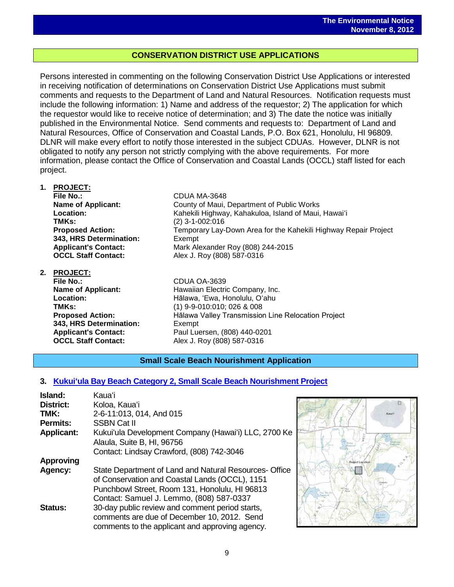## **CONSERVATION DISTRICT USE APPLICATIONS**

Persons interested in commenting on the following Conservation District Use Applications or interested in receiving notification of determinations on Conservation District Use Applications must submit comments and requests to the Department of Land and Natural Resources. Notification requests must include the following information: 1) Name and address of the requestor; 2) The application for which the requestor would like to receive notice of determination; and 3) The date the notice was initially published in the Environmental Notice. Send comments and requests to: Department of Land and Natural Resources, Office of Conservation and Coastal Lands, P.O. Box 621, Honolulu, HI 96809. DLNR will make every effort to notify those interested in the subject CDUAs. However, DLNR is not obligated to notify any person not strictly complying with the above requirements. For more information, please contact the Office of Conservation and Coastal Lands (OCCL) staff listed for each project.

- **1. PROJECT: File No.:** CDUA MA-3648 **Name of Applicant:** County of Maui, Department of Public Works **Location:** Kahekili Highway, Kahakuloa, Island of Maui, Hawaiʻi **TMKs:** (2) 3-1-002:016 **Proposed Action:** Temporary Lay-Down Area for the Kahekili Highway Repair Project **343, HRS Determination:** Exempt **Applicant's Contact:** Mark Alexander Roy (808) 244-2015 **OCCL Staff Contact:** Alex J. Roy (808) 587-0316 **2. PROJECT: File No.:** CDUA OA-3639
	- **Name of Applicant:** Hawaiian Electric Company, Inc. **Location:** Hālawa, ʻEwa, Honolulu, Oʻahu **TMKs:** (1) 9-9-010:010; 026 & 008 **Proposed Action:** Hālawa Valley Transmission Line Relocation Project **343, HRS Determination:** Exempt **Applicant's Contact:** Paul Luersen, (808) 440-0201 **OCCL Staff Contact:** Alex J. Roy (808) 587-0316

### **Small Scale Beach Nourishment Application**

### **3. [Kukuiʻula Bay Beach Category 2, Small](http://oeqc.doh.hawaii.gov/Shared%20Documents/EA_and_EIS_Online_Library/NEPA%20and%20Other%20Documents/Kukuiula-Bay-Beach-Category-2-Small-Scale-Beach-Nourishment-Project.pdf) Scale Beach Nourishment Project**

| Island:           | Kauaʻi                                                 |
|-------------------|--------------------------------------------------------|
| <b>District:</b>  | Koloa, Kaua'i                                          |
| TMK:              | 2-6-11:013, 014, And 015                               |
| <b>Permits:</b>   | <b>SSBN Cat II</b>                                     |
| <b>Applicant:</b> | Kukui'ula Development Company (Hawai'i) LLC, 2700 Ke   |
|                   | Alaula, Suite B, HI, 96756                             |
|                   | Contact: Lindsay Crawford, (808) 742-3046              |
| <b>Approving</b>  |                                                        |
| Agency:           | State Department of Land and Natural Resources- Office |
|                   | of Conservation and Coastal Lands (OCCL), 1151         |
|                   | Punchbowl Street, Room 131, Honolulu, HI 96813         |
|                   | Contact: Samuel J. Lemmo, (808) 587-0337               |
| <b>Status:</b>    | 30-day public review and comment period starts,        |
|                   | comments are due of December 10, 2012. Send            |
|                   | comments to the applicant and approving agency.        |

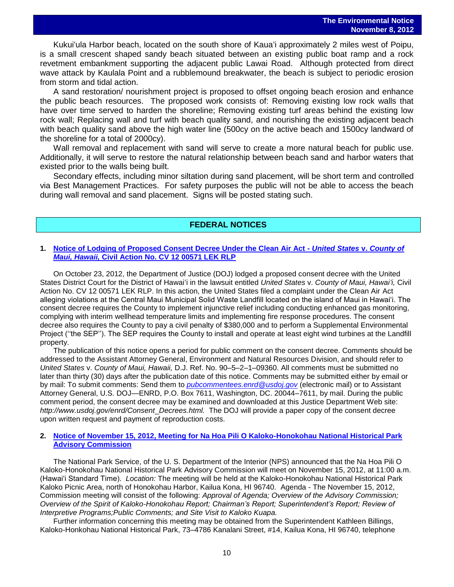Kukuiʻula Harbor beach, located on the south shore of Kauaʻi approximately 2 miles west of Poipu, is a small crescent shaped sandy beach situated between an existing public boat ramp and a rock revetment embankment supporting the adjacent public Lawai Road. Although protected from direct wave attack by Kaulala Point and a rubblemound breakwater, the beach is subject to periodic erosion from storm and tidal action.

A sand restoration/ nourishment project is proposed to offset ongoing beach erosion and enhance the public beach resources. The proposed work consists of: Removing existing low rock walls that have over time served to harden the shoreline; Removing existing turf areas behind the existing low rock wall; Replacing wall and turf with beach quality sand, and nourishing the existing adjacent beach with beach quality sand above the high water line (500cy on the active beach and 1500cy landward of the shoreline for a total of 2000cy).

Wall removal and replacement with sand will serve to create a more natural beach for public use. Additionally, it will serve to restore the natural relationship between beach sand and harbor waters that existed prior to the walls being built.

Secondary effects, including minor siltation during sand placement, will be short term and controlled via Best Management Practices. For safety purposes the public will not be able to access the beach during wall removal and sand placement. Signs will be posted stating such.

### **FEDERAL NOTICES**

#### **1. [Notice of Lodging of Proposed Consent Decree Under the Clean Air Act -](http://www.gpo.gov/fdsys/pkg/FR-2012-10-30/pdf/2012-26551.pdf)** *United States* **v.** *County of Maui, Hawaii,* **[Civil Action No. CV 12 00571 LEK RLP](http://www.gpo.gov/fdsys/pkg/FR-2012-10-30/pdf/2012-26551.pdf)**

On October 23, 2012, the Department of Justice (DOJ) lodged a proposed consent decree with the United States District Court for the District of Hawaiʻi in the lawsuit entitled *United States* v. *County of Maui, Hawaiʻi,* Civil Action No. CV 12 00571 LEK RLP. In this action, the United States filed a complaint under the Clean Air Act alleging violations at the Central Maui Municipal Solid Waste Landfill located on the island of Maui in Hawai'i. The consent decree requires the County to implement injunctive relief including conducting enhanced gas monitoring, complying with interim wellhead temperature limits and implementing fire response procedures. The consent decree also requires the County to pay a civil penalty of \$380,000 and to perform a Supplemental Environmental Project ("the SEP"). The SEP requires the County to install and operate at least eight wind turbines at the Landfill property.

The publication of this notice opens a period for public comment on the consent decree. Comments should be addressed to the Assistant Attorney General, Environment and Natural Resources Division, and should refer to *United States* v. *County of Maui, Hawaii,* D.J. Ref. No. 90–5–2–1–09360. All comments must be submitted no later than thirty (30) days after the publication date of this notice. Comments may be submitted either by email or by mail: To submit comments: Send them to *[pubcommentees.enrd@usdoj.gov](mailto:pubcommentees.enrd@usdoj.gov)* (electronic mail) or to Assistant Attorney General, U.S. DOJ—ENRD, P.O. Box 7611, Washington, DC. 20044–7611, by mail. During the public comment period, the consent decree may be examined and downloaded at this Justice Department Web site: *http://www.usdoj.gov/enrd/Consent*\_*Decrees.html.* The DOJ will provide a paper copy of the consent decree upon written request and payment of reproduction costs.

#### **2. [Notice of November 15, 2012, Meeting for Na Hoa Pili O Kaloko-Honokohau National Historical Park](http://www.gpo.gov/fdsys/pkg/FR-2012-11-07/pdf/2012-27164.pdf)  [Advisory Commission](http://www.gpo.gov/fdsys/pkg/FR-2012-11-07/pdf/2012-27164.pdf)**

The National Park Service, of the U. S. Department of the Interior (NPS) announced that the Na Hoa Pili O Kaloko-Honokohau National Historical Park Advisory Commission will meet on November 15, 2012, at 11:00 a.m. (Hawai'i Standard Time). *Location:* The meeting will be held at the Kaloko-Honokohau National Historical Park Kaloko Picnic Area, north of Honokohau Harbor, Kailua Kona, HI 96740. Agenda - The November 15, 2012, Commission meeting will consist of the following: *Approval of Agenda; Overview of the Advisory Commission; Overview of the Spirit of Kaloko-Honokohau Report; Chairman's Report; Superintendent's Report; Review of Interpretive Programs;Public Comments; and Site Visit to Kaloko Kuapa.*

Further information concerning this meeting may be obtained from the Superintendent Kathleen Billings, Kaloko-Honkohau National Historical Park, 73–4786 Kanalani Street, #14, Kailua Kona, HI 96740, telephone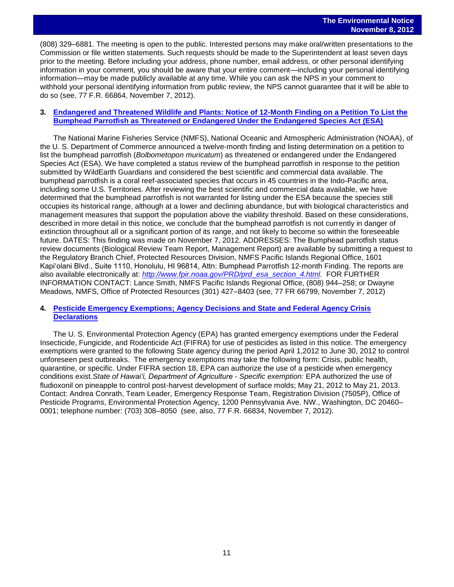(808) 329–6881. The meeting is open to the public. Interested persons may make oral/written presentations to the Commission or file written statements. Such requests should be made to the Superintendent at least seven days prior to the meeting. Before including your address, phone number, email address, or other personal identifying information in your comment, you should be aware that your entire comment—including your personal identifying information—may be made publicly available at any time. While you can ask the NPS in your comment to withhold your personal identifying information from public review, the NPS cannot guarantee that it will be able to do so (see, 77 F.R. 66864, November 7, 2012).

#### **3. [Endangered and Threatened Wildlife and Plants: Notice of 12-Month Finding on a Petition To List the](http://www.gpo.gov/fdsys/pkg/FR-2012-11-07/pdf/2012-27244.pdf)  [Bumphead Parrotfish as Threatened or Endangered Under the Endangered Species Act \(ESA\)](http://www.gpo.gov/fdsys/pkg/FR-2012-11-07/pdf/2012-27244.pdf)**

The National Marine Fisheries Service (NMFS), National Oceanic and Atmospheric Administration (NOAA), of the U. S. Department of Commerce announced a twelve-month finding and listing determination on a petition to list the bumphead parrotfish (*Bolbometopon muricatum*) as threatened or endangered under the Endangered Species Act (ESA). We have completed a status review of the bumphead parrotfish in response to the petition submitted by WildEarth Guardians and considered the best scientific and commercial data available. The bumphead parrotfish is a coral reef-associated species that occurs in 45 countries in the Indo-Pacific area, including some U.S. Territories. After reviewing the best scientific and commercial data available, we have determined that the bumphead parrotfish is not warranted for listing under the ESA because the species still occupies its historical range, although at a lower and declining abundance, but with biological characteristics and management measures that support the population above the viability threshold. Based on these considerations, described in more detail in this notice, we conclude that the bumphead parrotfish is not currently in danger of extinction throughout all or a significant portion of its range, and not likely to become so within the foreseeable future. DATES: This finding was made on November 7, 2012. ADDRESSES: The Bumphead parrotfish status review documents (Biological Review Team Report, Management Report) are available by submitting a request to the Regulatory Branch Chief, Protected Resources Division, NMFS Pacific Islands Regional Office, 1601 Kapi'olani Blvd., Suite 1110, Honolulu, HI 96814, Attn: Bumphead Parrotfish 12-month Finding. The reports are also available electronically at: *[http://www.fpir.noaa.gov/PRD/prd](http://www.fpir.noaa.gov/PRD/prd_esa_section_4.html)*\_*esa*\_*section*\_*4.html.* FOR FURTHER INFORMATION CONTACT: Lance Smith, NMFS Pacific Islands Regional Office, (808) 944–258; or Dwayne Meadows, NMFS, Office of Protected Resources (301) 427–8403 (see, 77 FR 66799, November 7, 2012)

#### **4. [Pesticide Emergency Exemptions; Agency Decisions and State and Federal Agency Crisis](http://www.gpo.gov/fdsys/pkg/FR-2012-11-07/pdf/2012-27062.pdf)  [Declarations](http://www.gpo.gov/fdsys/pkg/FR-2012-11-07/pdf/2012-27062.pdf)**

The U. S. Environmental Protection Agency (EPA) has granted emergency exemptions under the Federal Insecticide, Fungicide, and Rodenticide Act (FIFRA) for use of pesticides as listed in this notice. The emergency exemptions were granted to the following State agency during the period April 1,2012 to June 30, 2012 to control unforeseen pest outbreaks. The emergency exemptions may take the following form: Crisis, public health, quarantine, or specific. Under FIFRA section 18, EPA can authorize the use of a pesticide when emergency conditions exist.*State of Hawai'i, Department of Agriculture* - *Specific exemption:* EPA authorized the use of fludioxonil on pineapple to control post-harvest development of surface molds; May 21, 2012 to May 21, 2013. Contact: Andrea Conrath, Team Leader, Emergency Response Team, Registration Division (7505P), Office of Pesticide Programs, Environmental Protection Agency, 1200 Pennsylvania Ave. NW., Washington, DC 20460– 0001; telephone number: (703) 308–8050 (see, also, 77 F.R. 66834, November 7, 2012).